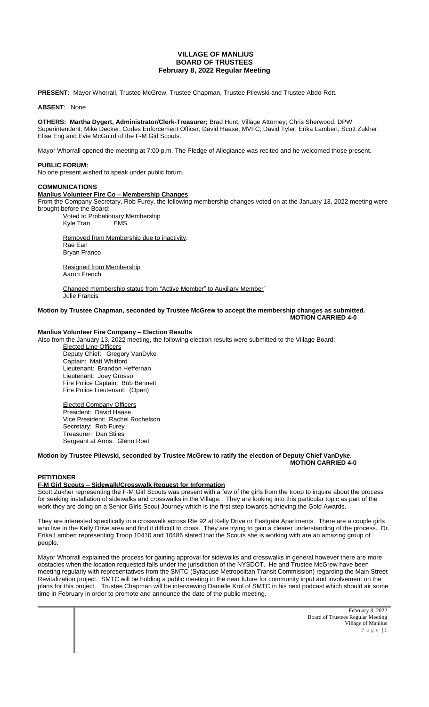# **VILLAGE OF MANLIUS BOARD OF TRUSTEES February 8, 2022 Regular Meeting**

**PRESENT:** Mayor Whorrall, Trustee McGrew, Trustee Chapman, Trustee Pilewski and Trustee Abdo-Rott.

### **ABSENT**: None

**OTHERS: Martha Dygert, Administrator/Clerk-Treasurer;** Brad Hunt, Village Attorney; Chris Sherwood, DPW Superintendent; Mike Decker, Codes Enforcement Officer; David Haase, MVFC; David Tyler; Erika Lambert; Scott Zukher, Elise Eng and Evie McGuird of the F-M Girl Scouts.

Mayor Whorrall opened the meeting at 7:00 p.m. The Pledge of Allegiance was recited and he welcomed those present.

#### **PUBLIC FORUM:**

No one present wished to speak under public forum.

#### **COMMUNICATIONS**

## **Manlius Volunteer Fire Co – Membership Changes**

From the Company Secretary, Rob Furey, the following membership changes voted on at the January 13, 2022 meeting were brought before the Board:

**Voted to Probationary Membership**<br>Kyle Tran FMS Kyle Tran

Removed from Membership due to inactivity: Rae Earl Bryan Franco

Resigned from Membership Aaron French

Changed membership status from "Active Member" to Auxiliary Member" Julie Francis

#### **Motion by Trustee Chapman, seconded by Trustee McGrew to accept the membership changes as submitted. MOTION CARRIED 4-0**

# **Manlius Volunteer Fire Company – Election Results**

Also from the January 13, 2022 meeting, the following election results were submitted to the Village Board:

Elected Line Officers Deputy Chief: Gregory VanDyke Captain: Matt Whitford Lieutenant: Brandon Heffernan Lieutenant: Joey Grosso Fire Police Captain: Bob Bennett Fire Police Lieutenant: (Open)

Elected Company Officers President: David Haase Vice President: Rachel Rochelson Secretary: Rob Furey Treasurer: Dan Stiles Sergeant at Arms: Glenn Roet

## **Motion by Trustee Pilewski, seconded by Trustee McGrew to ratify the election of Deputy Chief VanDyke. MOTION CARRIED 4-0**

### **PETITIONER**

## **F-M Girl Scouts – Sidewalk/Crosswalk Request for Information**

Scott Zukher representing the F-M Girl Scouts was present with a few of the girls from the troop to inquire about the process for seeking installation of sidewalks and crosswalks in the Village. They are looking into this particular topic as part of the work they are doing on a Senior Girls Scout Journey which is the first step towards achieving the Gold Awards.

They are interested specifically in a crosswalk across Rte 92 at Kelly Drive or Eastgate Apartments. There are a couple girls who live in the Kelly Drive area and find it difficult to cross. They are trying to gain a clearer understanding of the process. Dr. Erika Lambert representing Troop 10410 and 10486 stated that the Scouts she is working with are an amazing group of people.

Mayor Whorrall explained the process for gaining approval for sidewalks and crosswalks in general however there are more obstacles when the location requested falls under the jurisdiction of the NYSDOT. He and Trustee McGrew have been meeting regularly with representatives from the SMTC (Syracuse Metropolitan Transit Commission) regarding the Main Street Revitalization project. SMTC will be holding a public meeting in the near future for community input and involvement on the plans for this project. Trustee Chapman will be interviewing Danielle Krol of SMTC in his next podcast which should air some time in February in order to promote and announce the date of the public meeting.

> February 8, 2022 Board of Trustees Regular Meeting Village of Manlius P a g e | 1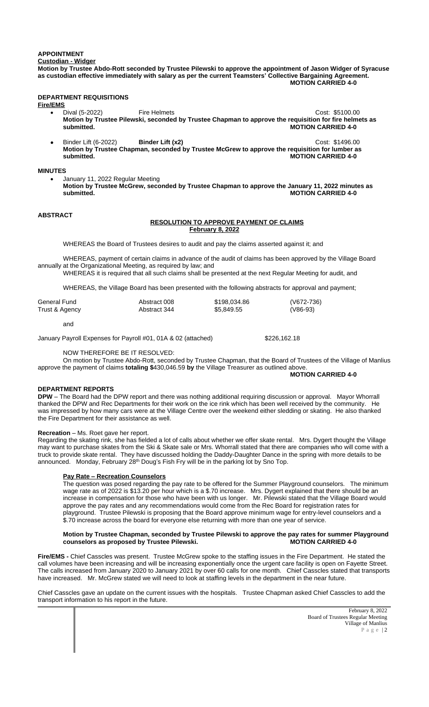# **APPOINTMENT**

**Custodian - Widger**

**Motion by Trustee Abdo-Rott seconded by Trustee Pilewski to approve the appointment of Jason Widger of Syracuse as custodian effective immediately with salary as per the current Teamsters' Collective Bargaining Agreement. MOTION CARRIED 4-0**

# **DEPARTMENT REQUISITIONS**

**Fire/EMS**

- Dival (5-2022) Fire Helmets Cost: \$5100.00 **Motion by Trustee Pilewski, seconded by Trustee Chapman to approve the requisition for fire helmets as MOTION CARRIED 4-0**
- Binder Lift (6-2022) **Binder Lift (x2)** Cost: \$1496.00 **Motion by Trustee Chapman, seconded by Trustee McGrew to approve the requisition for lumber as submitted. MOTION CARRIED 4-0**

## **MINUTES**

 January 11, 2022 Regular Meeting **Motion by Trustee McGrew, seconded by Trustee Chapman to approve the January 11, 2022 minutes as MOTION CARRIED 4-0** 

# **ABSTRACT**

# **RESOLUTION TO APPROVE PAYMENT OF CLAIMS February 8, 2022**

WHEREAS the Board of Trustees desires to audit and pay the claims asserted against it; and

WHEREAS, payment of certain claims in advance of the audit of claims has been approved by the Village Board annually at the Organizational Meeting, as required by law; and

WHEREAS it is required that all such claims shall be presented at the next Regular Meeting for audit, and

WHEREAS, the Village Board has been presented with the following abstracts for approval and payment;

| General Fund   | Abstract 008 | \$198,034.86 | (V672-736) |
|----------------|--------------|--------------|------------|
| Trust & Agency | Abstract 344 | \$5,849.55   | $(V86-93)$ |

and

January Payroll Expenses for Payroll #01, 01A & 02 (attached) \$226,162.18

# NOW THEREFORE BE IT RESOLVED:

On motion by Trustee Abdo-Rott, seconded by Trustee Chapman, that the Board of Trustees of the Village of Manlius approve the payment of claims **totaling \$**430,046.59 **by** the Village Treasurer as outlined above.

# **MOTION CARRIED 4-0**

## **DEPARTMENT REPORTS**

**DPW** – The Board had the DPW report and there was nothing additional requiring discussion or approval. Mayor Whorrall thanked the DPW and Rec Departments for their work on the ice rink which has been well received by the community. He was impressed by how many cars were at the Village Centre over the weekend either sledding or skating. He also thanked the Fire Department for their assistance as well.

### **Recreation** – Ms. Roet gave her report.

Regarding the skating rink, she has fielded a lot of calls about whether we offer skate rental. Mrs. Dygert thought the Village may want to purchase skates from the Ski & Skate sale or Mrs. Whorrall stated that there are companies who will come with a truck to provide skate rental. They have discussed holding the Daddy-Daughter Dance in the spring with more details to be announced. Monday, February 28<sup>th</sup> Doug's Fish Fry will be in the parking lot by Sno Top.

### **Pay Rate – Recreation Counselors**

The question was posed regarding the pay rate to be offered for the Summer Playground counselors. The minimum wage rate as of 2022 is \$13.20 per hour which is a \$.70 increase. Mrs. Dygert explained that there should be an increase in compensation for those who have been with us longer. Mr. Pilewski stated that the Village Board would approve the pay rates and any recommendations would come from the Rec Board for registration rates for playground. Trustee Pilewski is proposing that the Board approve minimum wage for entry-level counselors and a \$.70 increase across the board for everyone else returning with more than one year of service.

# **Motion by Trustee Chapman, seconded by Trustee Pilewski to approve the pay rates for summer Playground**  counselors as proposed by Trustee Pilewski.

**Fire/EMS -** Chief Casscles was present. Trustee McGrew spoke to the staffing issues in the Fire Department. He stated the call volumes have been increasing and will be increasing exponentially once the urgent care facility is open on Fayette Street. The calls increased from January 2020 to January 2021 by over 60 calls for one month. Chief Casscles stated that transports have increased. Mr. McGrew stated we will need to look at staffing levels in the department in the near future.

Chief Casscles gave an update on the current issues with the hospitals. Trustee Chapman asked Chief Casscles to add the transport information to his report in the future.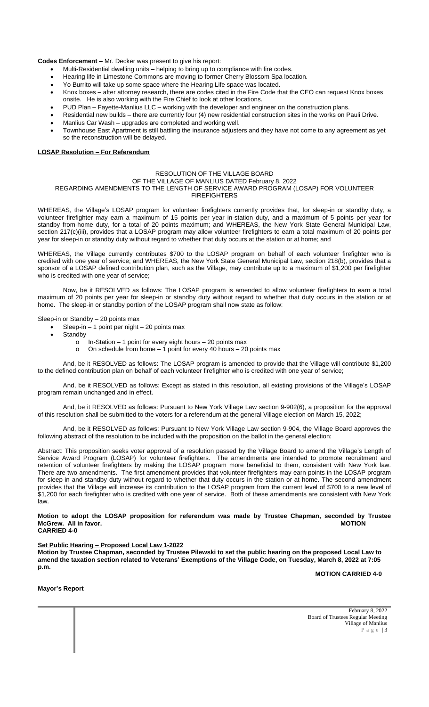**Codes Enforcement –** Mr. Decker was present to give his report:

- Multi-Residential dwelling units helping to bring up to compliance with fire codes.
- Hearing life in Limestone Commons are moving to former Cherry Blossom Spa location.
- Yo Burrito will take up some space where the Hearing Life space was located.
- Knox boxes after attorney research, there are codes cited in the Fire Code that the CEO can request Knox boxes onsite. He is also working with the Fire Chief to look at other locations.
- PUD Plan Fayette-Manlius LLC working with the developer and engineer on the construction plans.
- Residential new builds there are currently four (4) new residential construction sites in the works on Pauli Drive.
- Manlius Car Wash upgrades are completed and working well.
- Townhouse East Apartment is still battling the insurance adjusters and they have not come to any agreement as yet so the reconstruction will be delayed.

#### **LOSAP Resolution – For Referendum**

# RESOLUTION OF THE VILLAGE BOARD

OF THE VILLAGE OF MANLIUS DATED February 8, 2022

### REGARDING AMENDMENTS TO THE LENGTH OF SERVICE AWARD PROGRAM (LOSAP) FOR VOLUNTEER FIREFIGHTERS

WHEREAS, the Village's LOSAP program for volunteer firefighters currently provides that, for sleep-in or standby duty, a volunteer firefighter may earn a maximum of 15 points per year in-station duty, and a maximum of 5 points per year for standby from-home duty, for a total of 20 points maximum; and WHEREAS, the New York State General Municipal Law, section 217(c)(iii), provides that a LOSAP program may allow volunteer firefighters to earn a total maximum of 20 points per year for sleep-in or standby duty without regard to whether that duty occurs at the station or at home; and

WHEREAS, the Village currently contributes \$700 to the LOSAP program on behalf of each volunteer firefighter who is credited with one year of service; and WHEREAS, the New York State General Municipal Law, section 218(b), provides that a sponsor of a LOSAP defined contribution plan, such as the Village, may contribute up to a maximum of \$1,200 per firefighter who is credited with one year of service;

Now, be it RESOLVED as follows: The LOSAP program is amended to allow volunteer firefighters to earn a total maximum of 20 points per year for sleep-in or standby duty without regard to whether that duty occurs in the station or at home. The sleep-in or standby portion of the LOSAP program shall now state as follow:

Sleep-in or Standby – 20 points max

- Sleep-in 1 point per night 20 points max
- **Standby** 
	- o In-Station 1 point for every eight hours 20 points max
	- $\circ$  On schedule from home 1 point for every 40 hours 20 points max

And, be it RESOLVED as follows: The LOSAP program is amended to provide that the Village will contribute \$1,200 to the defined contribution plan on behalf of each volunteer firefighter who is credited with one year of service;

And, be it RESOLVED as follows: Except as stated in this resolution, all existing provisions of the Village's LOSAP program remain unchanged and in effect.

And, be it RESOLVED as follows: Pursuant to New York Village Law section 9-902(6), a proposition for the approval of this resolution shall be submitted to the voters for a referendum at the general Village election on March 15, 2022;

And, be it RESOLVED as follows: Pursuant to New York Village Law section 9-904, the Village Board approves the following abstract of the resolution to be included with the proposition on the ballot in the general election:

Abstract: This proposition seeks voter approval of a resolution passed by the Village Board to amend the Village's Length of Service Award Program (LOSAP) for volunteer firefighters. The amendments are intended to promote recruitment and retention of volunteer firefighters by making the LOSAP program more beneficial to them, consistent with New York law. There are two amendments. The first amendment provides that volunteer firefighters may earn points in the LOSAP program for sleep-in and standby duty without regard to whether that duty occurs in the station or at home. The second amendment provides that the Village will increase its contribution to the LOSAP program from the current level of \$700 to a new level of \$1,200 for each firefighter who is credited with one year of service. Both of these amendments are consistent with New York law.

#### **Motion to adopt the LOSAP proposition for referendum was made by Trustee Chapman, seconded by Trustee McGrew.** All in favor. **CARRIED 4-0**

# **Set Public Hearing – Proposed Local Law 1-2022**

**Motion by Trustee Chapman, seconded by Trustee Pilewski to set the public hearing on the proposed Local Law to amend the taxation section related to Veterans' Exemptions of the Village Code, on Tuesday, March 8, 2022 at 7:05 p.m.** 

**MOTION CARRIED 4-0**

#### **Mayor's Report**

February 8, 2022 Board of Trustees Regular Meeting Village of Manlius P a g e | 3